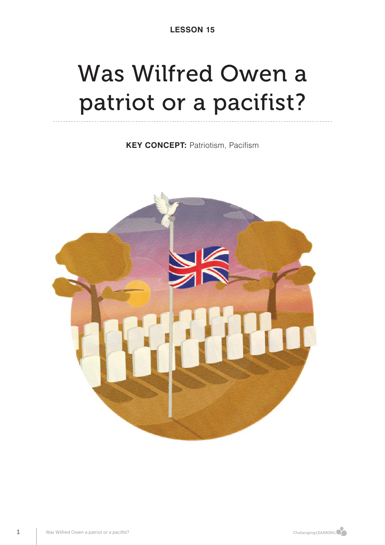# Was Wilfred Owen a patriot or a pacifist?

**KEY CONCEPT: Patriotism, Pacifism** 

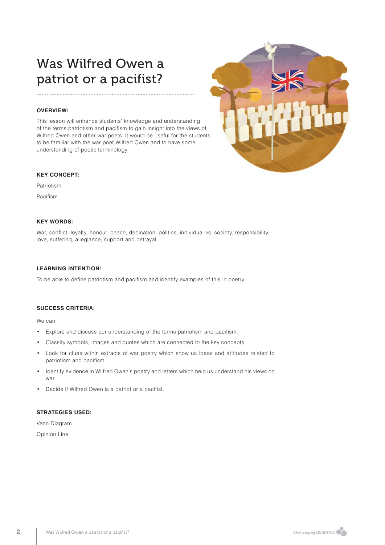# Was Wilfred Owen a patriot or a pacifist?

#### **OVERVIEW:**

This lesson will enhance students' knowledge and understanding of the terms patriotism and pacifism to gain insight into the views of Wilfred Owen and other war poets. It would be useful for the students to be familiar with the war poet Wilfred Owen and to have some understanding of poetic terminology.



#### **KEY CONCEPT:**

Patriotism

Pacifism

#### **KEY WORDS:**

War, conflict, loyalty, honour, peace, dedication, politics, individual vs. society, responsibility, love, suffering, allegiance, support and betrayal.

#### **LEARNING INTENTION:**

To be able to define patriotism and pacifism and identify examples of this in poetry.

#### **SUCCESS CRITERIA:**

We can

- Explore and discuss our understanding of the terms patriotism and pacifism.
- Classify symbols, images and quotes which are connected to the key concepts.
- Look for clues within extracts of war poetry which show us ideas and attitudes related to patriotism and pacifism.
- Identify evidence in Wilfred Owen's poetry and letters which help us understand his views on war.
- Decide if Wilfred Owen is a patriot or a pacifist.

#### **STRATEGIES USED:**

Venn Diagram

Opinion Line

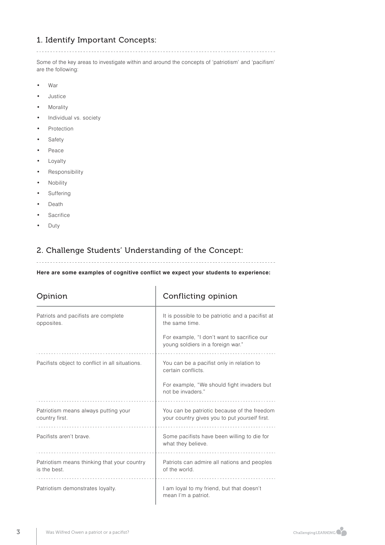### 1. Identify Important Concepts:

 $\omega = 1$ 

Some of the key areas to investigate within and around the concepts of 'patriotism' and 'pacifism' are the following:

- War
- Justice
- Morality
- Individual vs. society
- Protection
- Safety
- Peace
- Loyalty
- Responsibility
- Nobility
- Suffering
- Death
- Sacrifice
- Duty

#### 2. Challenge Students' Understanding of the Concept:

#### **Here are some examples of cognitive conflict we expect your students to experience:**

| Opinion                                                     | Conflicting opinion                                                                          |
|-------------------------------------------------------------|----------------------------------------------------------------------------------------------|
| Patriots and pacifists are complete<br>opposites.           | It is possible to be patriotic and a pacifist at<br>the same time.                           |
|                                                             | For example, "I don't want to sacrifice our<br>young soldiers in a foreign war."             |
| Pacifists object to conflict in all situations.             | You can be a pacifist only in relation to<br>certain conflicts.                              |
|                                                             | For example, "We should fight invaders but<br>not be invaders."                              |
| Patriotism means always putting your<br>country first.      | You can be patriotic because of the freedom<br>your country gives you to put yourself first. |
| Pacifists aren't brave.                                     | Some pacifists have been willing to die for<br>what they believe.                            |
| Patriotism means thinking that your country<br>is the best. | Patriots can admire all nations and peoples<br>of the world.                                 |
| Patriotism demonstrates loyalty.                            | I am loyal to my friend, but that doesn't<br>mean I'm a patriot.                             |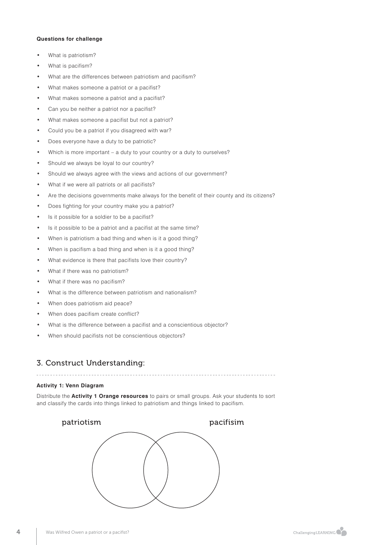#### **Questions for challenge**

- What is patriotism?
- What is pacifism?
- What are the differences between patriotism and pacifism?
- What makes someone a patriot or a pacifist?
- What makes someone a patriot and a pacifist?
- Can you be neither a patriot nor a pacifist?
- What makes someone a pacifist but not a patriot?
- Could you be a patriot if you disagreed with war?
- Does everyone have a duty to be patriotic?
- Which is more important a duty to your country or a duty to ourselves?
- Should we always be loyal to our country?
- Should we always agree with the views and actions of our government?
- What if we were all patriots or all pacifists?
- Are the decisions governments make always for the benefit of their county and its citizens?
- Does fighting for your country make you a patriot?
- Is it possible for a soldier to be a pacifist?
- Is it possible to be a patriot and a pacifist at the same time?
- When is patriotism a bad thing and when is it a good thing?
- When is pacifism a bad thing and when is it a good thing?
- What evidence is there that pacifists love their country?
- What if there was no patriotism?
- What if there was no pacifism?
- What is the difference between patriotism and nationalism?
- When does patriotism aid peace?
- When does pacifism create conflict?
- What is the difference between a pacifist and a conscientious objector?
- When should pacifists not be conscientious objectors?

#### 3. Construct Understanding:

#### **Activity 1: Venn Diagram**

Distribute the **Activity 1 Orange resources** to pairs or small groups. Ask your students to sort and classify the cards into things linked to patriotism and things linked to pacifism.

### patriotism pacifisim

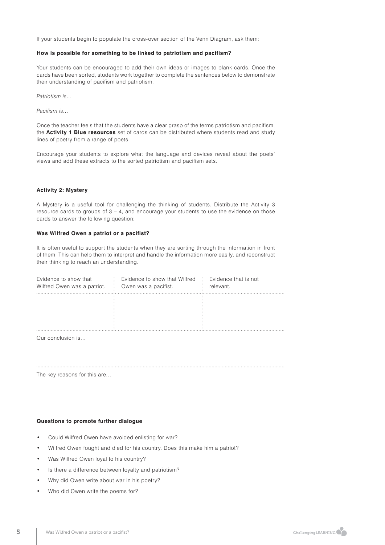If your students begin to populate the cross-over section of the Venn Diagram, ask them:

#### **How is possible for something to be linked to patriotism and pacifism?**

Your students can be encouraged to add their own ideas or images to blank cards. Once the cards have been sorted, students work together to complete the sentences below to demonstrate their understanding of pacifism and patriotism.

*Patriotism is…*

*Pacifism is…*

Once the teacher feels that the students have a clear grasp of the terms patriotism and pacifism, the **Activity 1 Blue resources** set of cards can be distributed where students read and study lines of poetry from a range of poets.

Encourage your students to explore what the language and devices reveal about the poets' views and add these extracts to the sorted patriotism and pacifism sets.

#### **Activity 2: Mystery**

A Mystery is a useful tool for challenging the thinking of students. Distribute the Activity 3 resource cards to groups of  $3 - 4$ , and encourage your students to use the evidence on those cards to answer the following question:

#### **Was Wilfred Owen a patriot or a pacifist?**

It is often useful to support the students when they are sorting through the information in front of them. This can help them to interpret and handle the information more easily, and reconstruct their thinking to reach an understanding.

| Evidence to show that<br>Wilfred Owen was a patriot. | Evidence to show that Wilfred : Evidence that is not<br>Owen was a pacifist.<br>$\bullet$ | relevant. |
|------------------------------------------------------|-------------------------------------------------------------------------------------------|-----------|
|                                                      |                                                                                           |           |

Our conclusion is…

The key reasons for this are…

#### **Questions to promote further dialogue**

- Could Wilfred Owen have avoided enlisting for war?
- Wilfred Owen fought and died for his country. Does this make him a patriot?
- Was Wilfred Owen loyal to his country?
- Is there a difference between loyalty and patriotism?
- Why did Owen write about war in his poetry?
- Who did Owen write the poems for?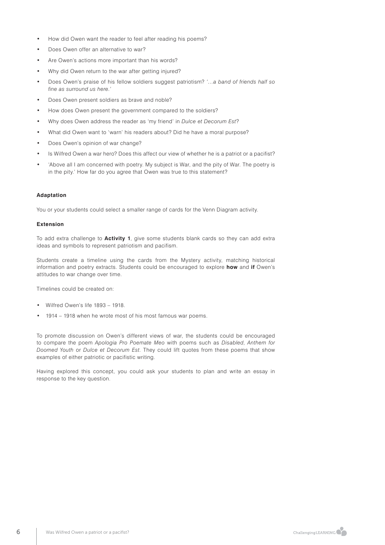- How did Owen want the reader to feel after reading his poems?
- Does Owen offer an alternative to war?
- Are Owen's actions more important than his words?
- Why did Owen return to the war after getting injured?
- Does Owen's praise of his fellow soldiers suggest patriotism? *'…a band of friends half so fine as surround us here.'*
- Does Owen present soldiers as brave and noble?
- How does Owen present the government compared to the soldiers?
- Why does Owen address the reader as 'my friend' in *Dulce et Decorum Est*?
- What did Owen want to 'warn' his readers about? Did he have a moral purpose?
- Does Owen's opinion of war change?
- Is Wilfred Owen a war hero? Does this affect our view of whether he is a patriot or a pacifist?
- 'Above all I am concerned with poetry. My subject is War, and the pity of War. The poetry is in the pity.' How far do you agree that Owen was true to this statement?

#### **Adaptation**

You or your students could select a smaller range of cards for the Venn Diagram activity.

#### **Extension**

To add extra challenge to **Activity 1**, give some students blank cards so they can add extra ideas and symbols to represent patriotism and pacifism.

Students create a timeline using the cards from the Mystery activity, matching historical information and poetry extracts. Students could be encouraged to explore **how** and **if** Owen's attitudes to war change over time.

Timelines could be created on:

- Wilfred Owen's life 1893 1918.
- 1914 1918 when he wrote most of his most famous war poems.

To promote discussion on Owen's different views of war, the students could be encouraged to compare the poem *Apologia Pro Poemate Meo* with poems such as *Disabled*, *Anthem for Doomed Youth* or *Dulce et Decorum Est*. They could lift quotes from these poems that show examples of either patriotic or pacifistic writing.

Having explored this concept, you could ask your students to plan and write an essay in response to the key question.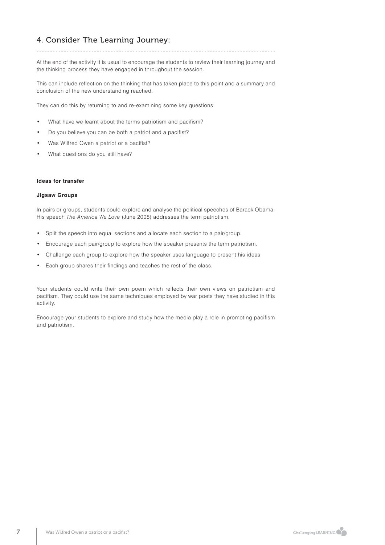### 4. Consider The Learning Journey:

\_\_\_\_\_\_\_\_\_\_\_\_\_\_\_\_\_\_

At the end of the activity it is usual to encourage the students to review their learning journey and the thinking process they have engaged in throughout the session.

This can include reflection on the thinking that has taken place to this point and a summary and conclusion of the new understanding reached.

They can do this by returning to and re-examining some key questions:

- What have we learnt about the terms patriotism and pacifism?
- Do you believe you can be both a patriot and a pacifist?
- Was Wilfred Owen a patriot or a pacifist?
- What questions do you still have?

#### **Ideas for transfer**

#### **Jigsaw Groups**

In pairs or groups, students could explore and analyse the political speeches of Barack Obama. His speech *The America We Love* (June 2008) addresses the term patriotism.

- Split the speech into equal sections and allocate each section to a pair/group.
- Encourage each pair/group to explore how the speaker presents the term patriotism.
- Challenge each group to explore how the speaker uses language to present his ideas.
- Each group shares their findings and teaches the rest of the class.

Your students could write their own poem which reflects their own views on patriotism and pacifism. They could use the same techniques employed by war poets they have studied in this activity.

Encourage your students to explore and study how the media play a role in promoting pacifism and patriotism.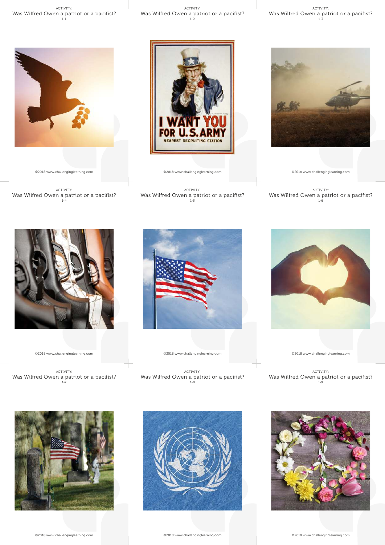ACTIVITY: Was Wilfred Owen a patriot or a pacifist? 1-2

ACTIVITY: Was Wilfred Owen a patriot or a pacifist?<br> $1-3$ 



ACTIVITY: Was Wilfred Owen a patriot or a pacifist? 1-4



©2018 www.challenginglearning.com

ACTIVITY: Was Wilfred Owen a patriot or a pacifist? 1-5



©2018 www.challenginglearning.com

ACTIVITY: Was Wilfred Owen a patriot or a pacifist? 1-6



©2018 www.challenginglearning.com

ACTIVITY: Was Wilfred Owen a patriot or a pacifist?<br> $1-7$ 



©2018 www.challenginglearning.com





ACTIVITY: Was Wilfred Owen a patriot or a pacifist? 1-9





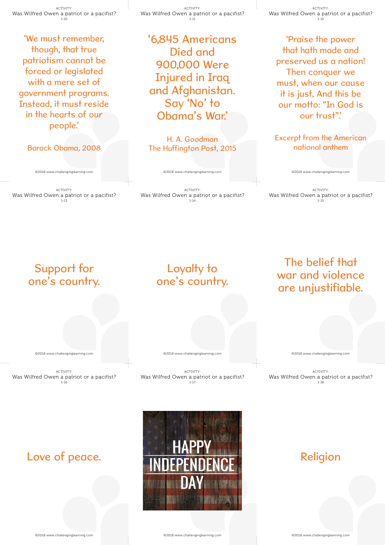'We must remember, though, that true patriotism cannot be forced or legislated with a mere set of government programs. Instead, it must reside in the hearts of our hearts of people.'

#### Barack Obama, 2008

©2018 www.challenginglearning.com ACTIVITY:

Was Wilfred Owen a patriot or a pacifist? 1-13

ACTIVITY: Was Wilfred Owen a patriot or a pacifist? 1-11

must remember,<br>
ough, that true<br>
iotism cannot be<br>
ced or legislated<br>
h a mere set of<br>
mment programs.<br>
and Afghanistan.<br>
and Afghanistan.<br>
and Afghanistan.<br>
Say 'No' to<br>
he hearts of our<br>
people.'<br>
H. A. Goodman<br>
ack Obam Died and 900,000 Were Injured in Iraq and Afghanistan. Say 'No' to Obama's War.'

#### H. A. Goodman The Huffington Post, 2015

ACTIVITY: Was Wilfred Owen a patriot or a pacifist? 1-14

©2018 www.challenginglearning.com

ACTIVITY: Was Wilfred Owen a patriot or a pacifist? 1-12

ricans<br>
and<br>
that hath made and<br>
that hath made and<br>
that hath made and<br>
preserved us a natio<br>
Then conquer we<br>
must, when our caus<br>
it is just, And this b<br>
dur motto: "In God i<br>
war."<br>
Nar."<br>
wan Excerpt from the Americ<br> that hath made and preserved us a nation! Then conquer we must, when our cause it is just, And this be our motto: "In God is our trust".'

#### Excerpt from the American national anthem

ACTIVITY: Was Wilfred Owen a patriot or a pacifist? 1-15

©2018 www.challenginglearning.com

### Support for one's country.

### Loyalty to one's country.

### The belief that war and violence are unjustifiable.

©2018 www.challenginglearning.com

ACTIVITY: Was Wilfred Owen a patriot or a pacifist? 1-16

#### ©2018 www.challenginglearning.com

ACTIVITY: Was Wilfred Owen a patriot or a pacifist? 1-17

ACTIVITY: Was Wilfred Owen a patriot or a pacifist? 1-18

©2018 www.challenginglearning.com

### Love of peace.





## Religion

©2018 www.challenginglearning.com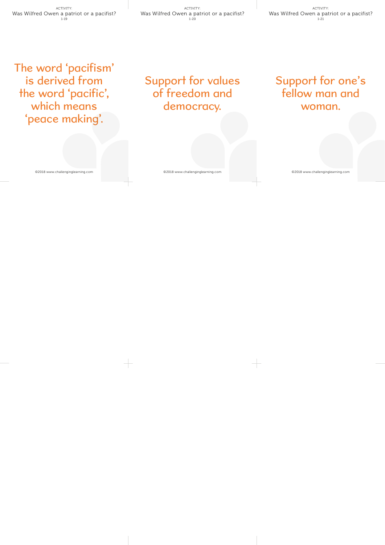ACTIVITY: Was Wilfred Owen a patriot or a pacifist? 1-20

The word 'pacifism' is derived from the word 'pacific', which means 'peace making'.

Support for values of freedom and democracy.

Support for one's fellow man and woman.

©2018 www.challenginglearning.com

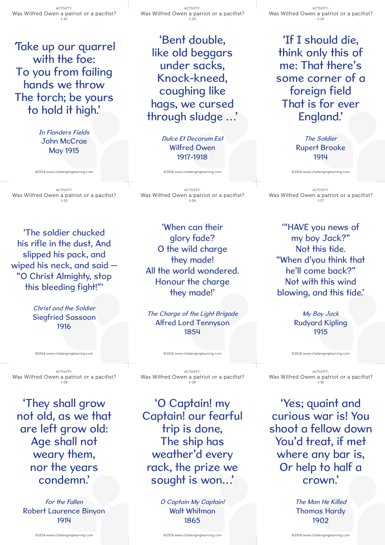'Take up our quarrel with the foe: To you from failing hands we throw The torch; be yours to hold it high.'

> In Flanders Fields John McCrae May 1915

ACTIVITY: Was Wilfred Owen a patriot or a pacifist? 1-25

©2018 www.challenginglearning.com

'The soldier chucked his rifle in the dust, And slipped his pack, and wiped his neck, and said -- "O Christ Almighty, stop this bleeding fight!"'

> Christ and the Soldier Siegfried Sassoon 1916

ACTIVITY: Was Wilfred Owen a patriot or a pacifist? 1-28

©2018 www.challenginglearning.com

'They shall grow not old, as we that are left grow old: Age shall not weary them, nor the years condemn.'

For the Fallen Robert Laurence Binyon 1914

©2018 www.challenginglearning.com

ACTIVITY: Was Wilfred Owen a patriot or a pacifist? 1-23

'Bent double, like old beggars under sacks, Knock-kneed, coughing like hags, we cursed through sludge …'

> Dulce Et Decorum Est Wilfred Owen 1917-1918

©2018 www.challenginglearning.com

ACTIVITY: Was Wilfred Owen a patriot or a pacifist? 1-26

'When can their glory fade? O the wild charge they made! All the world wondered. Honour the charge they made!'

The Charge of the Light Brigade Alfred Lord Tennyson 1854

ACTIVITY: Was Wilfred Owen a patriot or a pacifist? 1-29

©2018 www.challenginglearning.com

'O Captain! my Captain! our fearful trip is done, The ship has weather'd every rack, the prize we sought is won…'

> O Captain My Captain! Walt Whitman 1865

©2018 www.challenginglearning.com

ACTIVITY: Was Wilfred Owen a patriot or a pacifist? 1-24

'If I should die, think only this of me: That there's some corner of a foreign field That is for ever England.'

> The Soldier Rupert Brooke 1914

©2018 www.challenginglearning.com

ACTIVITY: Was Wilfred Owen a patriot or a pacifist? 1-27

'"HAVE you news of my boy Jack?" Not this tide. "When d'you think that he'll come back?" Not with this wind blowing, and this tide.'

> My Boy Jack Rudyard Kipling 1915

ACTIVITY: Was Wilfred Owen a patriot or a pacifist? 1-30

©2018 www.challenginglearning.com

'Yes; quaint and curious war is! You shoot a fellow down You'd treat, if met where any bar is, Or help to half a crown.'

> The Man He Killed Thomas Hardy 1902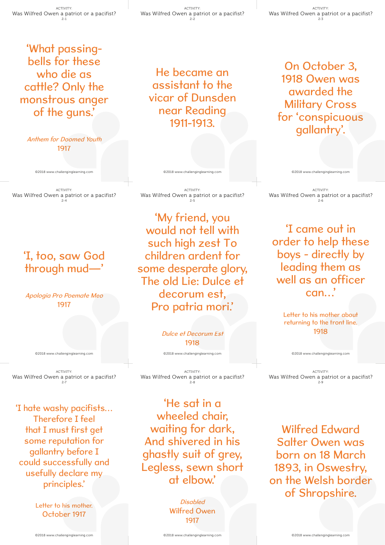'What passingbells for these who die as cattle? Only the monstrous anger of the guns.'

#### Anthem for Doomed Youth 1917

©2018 www.challenginglearning.com ACTIVITY:

Was Wilfred Owen a patriot or a pacifist?  $2 - 4$ 

## 'I, too, saw God through mud—'

#### Apologia Pro Poemate Meo 1917

©2018 www.challenginglearning.com

ACTIVITY: Was Wilfred Owen a patriot or a pacifist? 2-7

'I hate washy pacifists… Therefore I feel that I must first get some reputation for gallantry before I could successfully and usefully declare my principles.'

> Letter to his mother. October 1917

©2018 www.challenginglearning.com

ACTIVITY: Was Wilfred Owen a patriot or a pacifist? 2-2

o die as die the became an<br>
? Only the assistant to the<br>
rous anger vicar of Dunsder<br>
he guns.' hear Reading<br>
1911-1913.<br>
For Doomed Youth assistant to the vicar of Dunsden near Reading 1911-1913.

ACTIVITY: Was Wilfred Owen a patriot or a pacifist? 2-3

de became an<br>
1918 Owen was<br>
1918 Owen was<br>
1918 Owen was<br>
awarded the<br>
1918 Owen was<br>
awarded the<br>
Military Cross<br>
Military Cross 1918 Owen was awarded the **Military Cross** for 'conspicuous gallantry'.

ACTIVITY: Was Wilfred Owen a patriot or a pacifist?

2-5

©2018 www.challenginglearning.com

Wy friend, you<br>
would not tell wit<br>
such high zest To<br>
aw God children ardent for<br>
commud to the some desperate gloud<br>
The old Lie: Dulce<br>
decorum est, would not tell with such high zest To children ardent for some desperate glory, The old Lie: Dulce et decorum est, Pro patria mori.' uld not tell with "I came out in<br>ch high zest To" order to help the:<br>dren ardent for boys - directly b<br>edsperate glory, leading them as<br>old Lie: Dulce et well as an office<br>decorum est, can...'<br>o patria mori.'

> Dulce et Decorum Est 1918

©2018 www.challenginglearning.com

ACTIVITY: Was Wilfred Owen a patriot or a pacifist? 2-8

Elists...<br>
Evel Weeled chain<br>
It get Waiting for dan<br>
In for And shivered in<br>
The I ghastly suit of g<br>
Ily and Legless, sewn sl wheeled chair, waiting for dark, And shivered in his ghastly suit of grey, Legless, sewn short at elbow.'

> Disabled Wilfred Owen 1917

©2018 www.challenginglearning.com

ACTIVITY: Was Wilfred Owen a patriot or a pacifist? .<br>م-و

©2018 www.challenginglearning.com

order to help these boys - directly by leading them as well as an officer can…'

> Letter to his mother about returning to the front line. 1918

ACTIVITY: Was Wilfred Owen a patriot or a pacifist? 2-9

©2018 www.challenginglearning.com

red in his Salter Owen was<br>
suit of grey, born on 18 March<br>
sewn short 1893, in Oswestry<br>
elbow.' on the Welsh bord<br>
of Shropshire.<br>
isabled<br>
ed Owen Salter Owen was born on 18 March 1893, in Oswestry, on the Welsh border the Welsh bord<br>of Shropshire.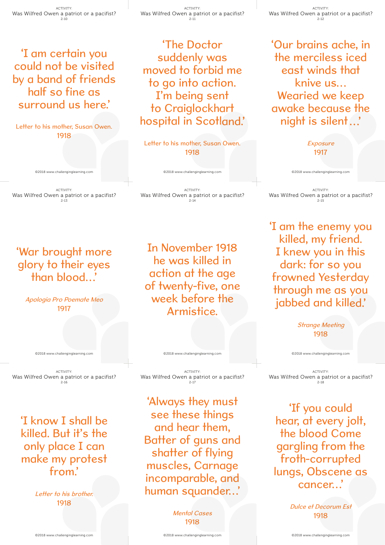'I am certain you could not be visited by a band of friends half so fine as surround us here.'

Letter to his mother, Susan Owen. 1918

©2018 www.challenginglearning.com ACTIVITY:

Was Wilfred Owen a patriot or a pacifist? 2-13

'War brought more glory to their eyes than blood…'

Apologia Pro Poemate Meo 1917

The Doctor<br>
ain you<br>
e visited<br>
f friends<br>
f friends<br>
ine as<br>
us here.'<br>
to go into actic<br>
I'm being sen<br>
to Craiglockha<br>
hospital in Scotla<br>
to Scale in Scotla<br>
to Craiglockha<br>
hospital in Scotla<br>
to Scotla<br>
to Scale in S suddenly was moved to forbid me to go into action. I'm being sent to Craiglockhart hospital in Scotland.'

ACTIVITY: Was Wilfred Owen a patriot or a pacifist? 2-11

Letter to his mother, Susan Owen. 1918

ACTIVITY: Was Wilfred Owen a patriot or a pacifist? 2-14

©2018 www.challenginglearning.com

ght more In November 1918<br>
neir eyes he was killed in<br>
ood...' action at the age<br>
of twenty-five, one<br>
week before the he was killed in action at the age of twenty-five, one week before the e Armistice Armistice.

ACTIVITY: Was Wilfred Owen a patriot or a pacifist? 2-12

our brains ache, in<br>
y was the merciless iced<br>
orbid metal east winds that<br>
action. This wearied we keep<br>
ockhart the might is silent...'<br>
Susan Owen. Exposure the merciless iced east winds that knive us… Wearied we keep awake because the night is silent …'

**Exposure** 1917

ACTIVITY: Was Wilfred Owen a patriot or a pacifist? 2-15

©2018 www.challenginglearning.com

'I am the enemy you killed, my friend. I knew you in this dark: for so you frowned Yesterday through me as you jabbed and killed.'

> Strange Meeting 1918

©2018 www.challenginglearning.com

ACTIVITY: Was Wilfred Owen a patriot or a pacifist? 2-18

'If you could hear, at every jolt, the blood Come gargling from the froth-corrupted lungs, Obscene as cancer…'

> Dulce et Decorum Est 1918

©2018 www.challenginglearning.com

ACTIVITY: Was Wilfred Owen a patriot or a pacifist? 2-16

'I know I shall be killed. But it's the only place I can make my protest from.'

> Letter to his brother. 1918

©2018 www.challenginglearning.com

ACTIVITY: Was Wilfred Owen a patriot or a pacifist? 2-17

Always they must<br>
see these things<br>
is the and hear them,<br>
I can<br>
rotest muscles, Carnage<br>
incomparable, and<br>
human squander...'<br>
human squander...' see these things and hear them, Batter of guns and shatter of flying muscles, Carnage incomparable, and human squander...'

#### Mental Cases 1918

©2018 www.challenginglearning.com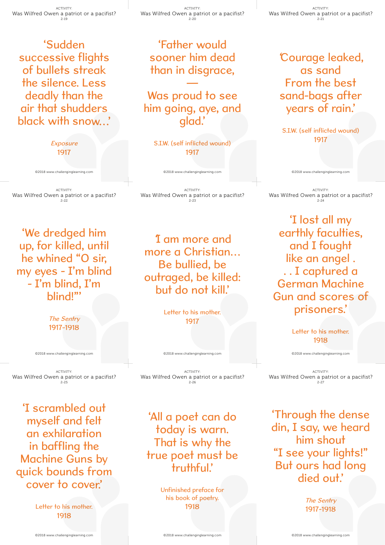'Sudden successive flights of bullets streak the silence. Less deadly than the air that shudders shudders black with snow…'

> **Exposure** 1917

ACTIVITY: Was Wilfred Owen a patriot or a pacifist? 2-22

©2018 www.challenginglearning.com

'We dredged him up, for killed, until he whined "O sir, my eyes - I'm blind - I'm blind, I'm blind!"'

> The Sentry 1917-1918

©2018 www.challenginglearning.com

ACTIVITY: Was Wilfred Owen a patriot or a pacifist? 2-25

'I scrambled out myself and felt an exhilaration in baffling the Machine Guns by quick bounds from cover to cover.'

> Letter to his mother. 1918

**ACTIVITY** Was Wilfred Owen a patriot or a pacifist? 2-20

'Father would sooner him dead than in disgrace, —

Was proud to see him going, aye, and glad.'

S.I.W. (self inflicted wound) 1917

©2018 www.challenginglearning.com

ACTIVITY: Was Wilfred Owen a patriot or a pacifist? 2-23

'I am more and more a Christian… Be bullied, be outraged, be killed: but do not kill.'

> Letter to his mother. 1917

ACTIVITY: Was Wilfred Owen a patriot or a pacifist? 2-26

©2018 www.challenginglearning.com

Felt<br>
felt<br>
tion<br>
the<br>
the That is why the<br>
true poet must be<br>
from<br>
ver.' today is warn. That is why the true poet must be truthful.'

Unfinished preface for his book of poetry. 1918

ACTIVITY: Was Wilfred Owen a patriot or a pacifist? 2-21

oner him dead<br>
in disgrace, as sand<br>
in disgrace, as sand<br>
From the best<br>
sand-bags after<br>
years of rain.<br>
glad.'<br>
s.I.W. (self inflicted wound)<br>
let is the same same of rain.'<br>
s.I.W. (self inflicted wound)<br>
1917 as sand From the best sand-bags after years of rain.'

S.I.W. (self inflicted wound) 1917

ACTIVITY: Was Wilfred Owen a patriot or a pacifist? 2-24

©2018 www.challenginglearning.com

'I lost all my earthly faculties, and I fought like an angel . . . I captured a German Machine Gun and scores of and scores<br>prisoners.'

> Letter to his mother. 1918

> ©2018 www.challenginglearning.com

ACTIVITY: Was Wilfred Owen a patriot or a pacifist? 2-27

can do<br>
warn. din, I say, we heard<br>
him shout<br>
him shout<br>
al.' But ours had long<br>
died out.'<br>
cide out.' din, I say, we heard him shout "I see your lights!" But ours had long died out.'

> The Sentry 1917-1918

©2018 www.challenginglearning.com